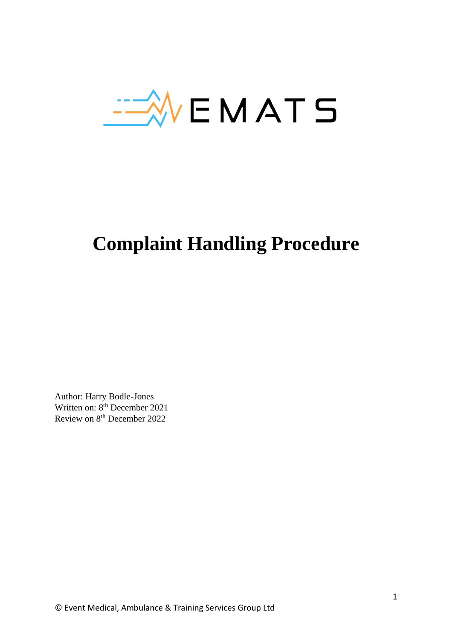

# **Complaint Handling Procedure**

Author: Harry Bodle-Jones Written on:  $8<sup>th</sup>$  December 2021 Review on 8th December 2022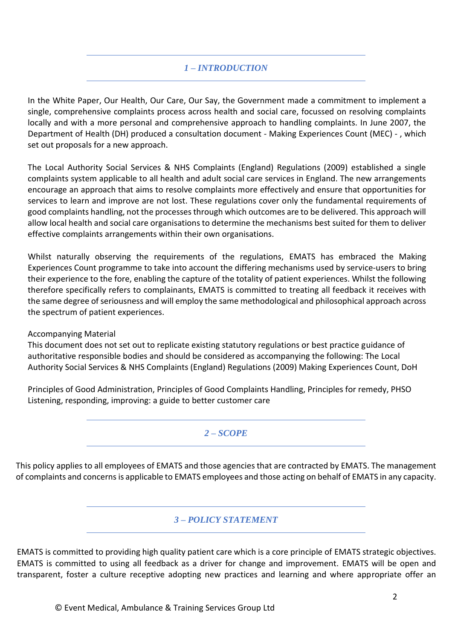# *1 – INTRODUCTION*

In the White Paper, Our Health, Our Care, Our Say, the Government made a commitment to implement a single, comprehensive complaints process across health and social care, focussed on resolving complaints locally and with a more personal and comprehensive approach to handling complaints. In June 2007, the Department of Health (DH) produced a consultation document - Making Experiences Count (MEC) - , which set out proposals for a new approach.

The Local Authority Social Services & NHS Complaints (England) Regulations (2009) established a single complaints system applicable to all health and adult social care services in England. The new arrangements encourage an approach that aims to resolve complaints more effectively and ensure that opportunities for services to learn and improve are not lost. These regulations cover only the fundamental requirements of good complaints handling, not the processes through which outcomes are to be delivered. This approach will allow local health and social care organisations to determine the mechanisms best suited for them to deliver effective complaints arrangements within their own organisations.

Whilst naturally observing the requirements of the regulations, EMATS has embraced the Making Experiences Count programme to take into account the differing mechanisms used by service-users to bring their experience to the fore, enabling the capture of the totality of patient experiences. Whilst the following therefore specifically refers to complainants, EMATS is committed to treating all feedback it receives with the same degree of seriousness and will employ the same methodological and philosophical approach across the spectrum of patient experiences.

## Accompanying Material

This document does not set out to replicate existing statutory regulations or best practice guidance of authoritative responsible bodies and should be considered as accompanying the following: The Local Authority Social Services & NHS Complaints (England) Regulations (2009) Making Experiences Count, DoH

Principles of Good Administration, Principles of Good Complaints Handling, Principles for remedy, PHSO Listening, responding, improving: a guide to better customer care

## *2 – SCOPE*

This policy applies to all employees of EMATS and those agencies that are contracted by EMATS. The management of complaints and concerns is applicable to EMATS employees and those acting on behalf of EMATS in any capacity.

## *3 – POLICY STATEMENT*

EMATS is committed to providing high quality patient care which is a core principle of EMATS strategic objectives. EMATS is committed to using all feedback as a driver for change and improvement. EMATS will be open and transparent, foster a culture receptive adopting new practices and learning and where appropriate offer an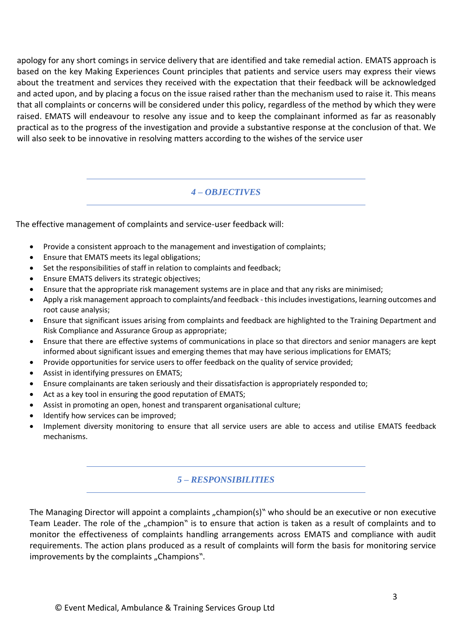apology for any short comings in service delivery that are identified and take remedial action. EMATS approach is based on the key Making Experiences Count principles that patients and service users may express their views about the treatment and services they received with the expectation that their feedback will be acknowledged and acted upon, and by placing a focus on the issue raised rather than the mechanism used to raise it. This means that all complaints or concerns will be considered under this policy, regardless of the method by which they were raised. EMATS will endeavour to resolve any issue and to keep the complainant informed as far as reasonably practical as to the progress of the investigation and provide a substantive response at the conclusion of that. We will also seek to be innovative in resolving matters according to the wishes of the service user

## *4 – OBJECTIVES*

The effective management of complaints and service-user feedback will:

- Provide a consistent approach to the management and investigation of complaints;
- Ensure that EMATS meets its legal obligations;
- Set the responsibilities of staff in relation to complaints and feedback;
- Ensure EMATS delivers its strategic objectives;
- Ensure that the appropriate risk management systems are in place and that any risks are minimised;
- Apply a risk management approach to complaints/and feedback this includes investigations, learning outcomes and root cause analysis;
- Ensure that significant issues arising from complaints and feedback are highlighted to the Training Department and Risk Compliance and Assurance Group as appropriate;
- Ensure that there are effective systems of communications in place so that directors and senior managers are kept informed about significant issues and emerging themes that may have serious implications for EMATS;
- Provide opportunities for service users to offer feedback on the quality of service provided;
- Assist in identifying pressures on EMATS;
- Ensure complainants are taken seriously and their dissatisfaction is appropriately responded to;
- Act as a key tool in ensuring the good reputation of EMATS;
- Assist in promoting an open, honest and transparent organisational culture;
- Identify how services can be improved;
- Implement diversity monitoring to ensure that all service users are able to access and utilise EMATS feedback mechanisms.

# *5 – RESPONSIBILITIES*

The Managing Director will appoint a complaints "champion(s)" who should be an executive or non executive Team Leader. The role of the "champion" is to ensure that action is taken as a result of complaints and to monitor the effectiveness of complaints handling arrangements across EMATS and compliance with audit requirements. The action plans produced as a result of complaints will form the basis for monitoring service improvements by the complaints "Champions".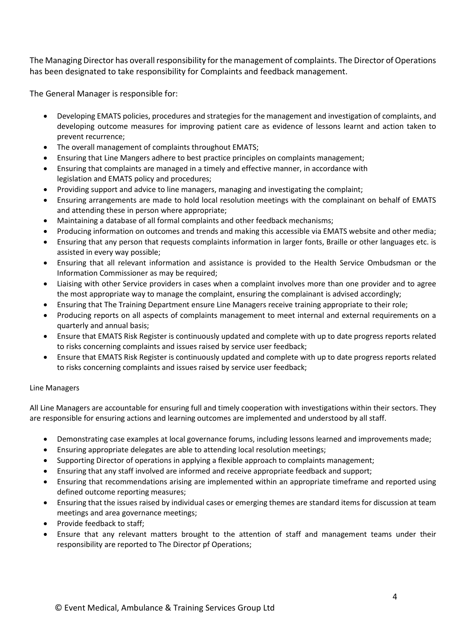The Managing Director has overall responsibility for the management of complaints. The Director of Operations has been designated to take responsibility for Complaints and feedback management.

The General Manager is responsible for:

- Developing EMATS policies, procedures and strategies for the management and investigation of complaints, and developing outcome measures for improving patient care as evidence of lessons learnt and action taken to prevent recurrence;
- The overall management of complaints throughout EMATS;
- Ensuring that Line Mangers adhere to best practice principles on complaints management;
- Ensuring that complaints are managed in a timely and effective manner, in accordance with legislation and EMATS policy and procedures;
- Providing support and advice to line managers, managing and investigating the complaint;
- Ensuring arrangements are made to hold local resolution meetings with the complainant on behalf of EMATS and attending these in person where appropriate;
- Maintaining a database of all formal complaints and other feedback mechanisms;
- Producing information on outcomes and trends and making this accessible via EMATS website and other media;
- Ensuring that any person that requests complaints information in larger fonts, Braille or other languages etc. is assisted in every way possible;
- Ensuring that all relevant information and assistance is provided to the Health Service Ombudsman or the Information Commissioner as may be required;
- Liaising with other Service providers in cases when a complaint involves more than one provider and to agree the most appropriate way to manage the complaint, ensuring the complainant is advised accordingly;
- Ensuring that The Training Department ensure Line Managers receive training appropriate to their role;
- Producing reports on all aspects of complaints management to meet internal and external requirements on a quarterly and annual basis;
- Ensure that EMATS Risk Register is continuously updated and complete with up to date progress reports related to risks concerning complaints and issues raised by service user feedback;
- Ensure that EMATS Risk Register is continuously updated and complete with up to date progress reports related to risks concerning complaints and issues raised by service user feedback;

#### Line Managers

All Line Managers are accountable for ensuring full and timely cooperation with investigations within their sectors. They are responsible for ensuring actions and learning outcomes are implemented and understood by all staff.

- Demonstrating case examples at local governance forums, including lessons learned and improvements made;
- Ensuring appropriate delegates are able to attending local resolution meetings;
- Supporting Director of operations in applying a flexible approach to complaints management;
- Ensuring that any staff involved are informed and receive appropriate feedback and support;
- Ensuring that recommendations arising are implemented within an appropriate timeframe and reported using defined outcome reporting measures;
- Ensuring that the issues raised by individual cases or emerging themes are standard items for discussion at team meetings and area governance meetings;
- Provide feedback to staff;
- Ensure that any relevant matters brought to the attention of staff and management teams under their responsibility are reported to The Director pf Operations;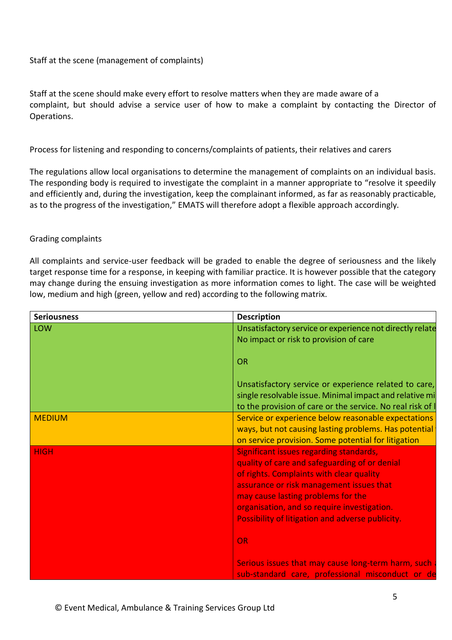### Staff at the scene (management of complaints)

Staff at the scene should make every effort to resolve matters when they are made aware of a complaint, but should advise a service user of how to make a complaint by contacting the Director of Operations.

Process for listening and responding to concerns/complaints of patients, their relatives and carers

The regulations allow local organisations to determine the management of complaints on an individual basis. The responding body is required to investigate the complaint in a manner appropriate to "resolve it speedily and efficiently and, during the investigation, keep the complainant informed, as far as reasonably practicable, as to the progress of the investigation," EMATS will therefore adopt a flexible approach accordingly.

#### Grading complaints

All complaints and service-user feedback will be graded to enable the degree of seriousness and the likely target response time for a response, in keeping with familiar practice. It is however possible that the category may change during the ensuing investigation as more information comes to light. The case will be weighted low, medium and high (green, yellow and red) according to the following matrix.

| <b>Seriousness</b> | <b>Description</b>                                                                                                                                                                                                                                                                                                        |
|--------------------|---------------------------------------------------------------------------------------------------------------------------------------------------------------------------------------------------------------------------------------------------------------------------------------------------------------------------|
| <b>LOW</b>         | Unsatisfactory service or experience not directly relate<br>No impact or risk to provision of care                                                                                                                                                                                                                        |
|                    | <b>OR</b>                                                                                                                                                                                                                                                                                                                 |
|                    | Unsatisfactory service or experience related to care,<br>single resolvable issue. Minimal impact and relative mi<br>to the provision of care or the service. No real risk of I                                                                                                                                            |
| <b>MEDIUM</b>      | Service or experience below reasonable expectations<br>ways, but not causing lasting problems. Has potential<br>on service provision. Some potential for litigation                                                                                                                                                       |
| <b>HIGH</b>        | Significant issues regarding standards,<br>quality of care and safeguarding of or denial<br>of rights. Complaints with clear quality<br>assurance or risk management issues that<br>may cause lasting problems for the<br>organisation, and so require investigation.<br>Possibility of litigation and adverse publicity. |
|                    | <b>OR</b><br>Serious issues that may cause long-term harm, such<br>sub-standard care, professional misconduct or de                                                                                                                                                                                                       |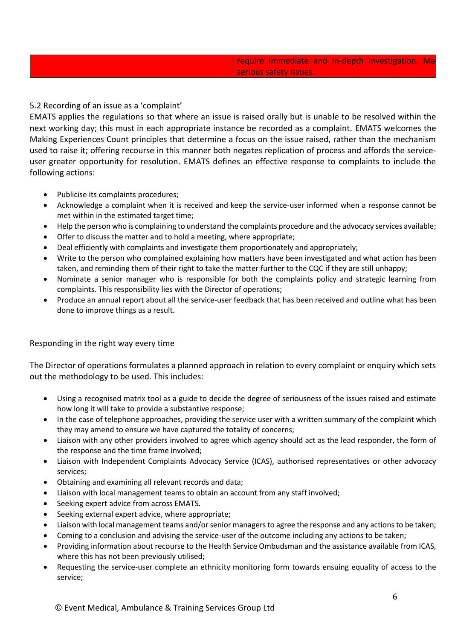## 5.2 Recording of an issue as a 'complaint'

EMATS applies the regulations so that where an issue is raised orally but is unable to be resolved within the next working day; this must in each appropriate instance be recorded as a complaint. EMATS welcomes the Making Experiences Count principles that determine a focus on the issue raised, rather than the mechanism used to raise it; offering recourse in this manner both negates replication of process and affords the serviceuser greater opportunity for resolution. EMATS defines an effective response to complaints to include the following actions:

- Publicise its complaints procedures;
- Acknowledge a complaint when it is received and keep the service-user informed when a response cannot be met within in the estimated target time;
- Help the person who is complaining to understand the complaints procedure and the advocacy services available;
- Offer to discuss the matter and to hold a meeting, where appropriate;
- Deal efficiently with complaints and investigate them proportionately and appropriately;
- Write to the person who complained explaining how matters have been investigated and what action has been taken, and reminding them of their right to take the matter further to the CQC if they are still unhappy;
- Nominate a senior manager who is responsible for both the complaints policy and strategic learning from complaints. This responsibility lies with the Director of operations;
- Produce an annual report about all the service-user feedback that has been received and outline what has been done to improve things as a result.

#### Responding in the right way every time

The Director of operations formulates a planned approach in relation to every complaint or enquiry which sets out the methodology to be used. This includes:

- Using a recognised matrix tool as a guide to decide the degree of seriousness of the issues raised and estimate how long it will take to provide a substantive response;
- In the case of telephone approaches, providing the service user with a written summary of the complaint which they may amend to ensure we have captured the totality of concerns;
- Liaison with any other providers involved to agree which agency should act as the lead responder, the form of the response and the time frame involved;
- Liaison with Independent Complaints Advocacy Service (ICAS), authorised representatives or other advocacy services;
- Obtaining and examining all relevant records and data;
- Liaison with local management teams to obtain an account from any staff involved;
- Seeking expert advice from across EMATS.
- Seeking external expert advice, where appropriate;
- Liaison with local management teams and/or senior managers to agree the response and any actions to be taken;
- Coming to a conclusion and advising the service-user of the outcome including any actions to be taken;
- Providing information about recourse to the Health Service Ombudsman and the assistance available from ICAS, where this has not been previously utilised;
- Requesting the service-user complete an ethnicity monitoring form towards ensuing equality of access to the service;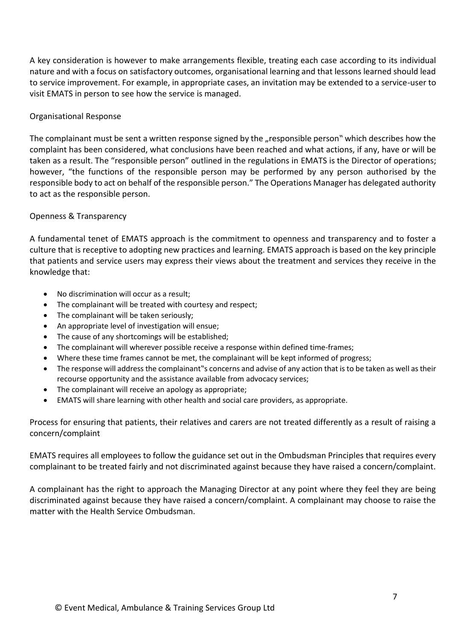A key consideration is however to make arrangements flexible, treating each case according to its individual nature and with a focus on satisfactory outcomes, organisational learning and that lessons learned should lead to service improvement. For example, in appropriate cases, an invitation may be extended to a service-user to visit EMATS in person to see how the service is managed.

#### Organisational Response

The complainant must be sent a written response signed by the "responsible person" which describes how the complaint has been considered, what conclusions have been reached and what actions, if any, have or will be taken as a result. The "responsible person" outlined in the regulations in EMATS is the Director of operations; however, "the functions of the responsible person may be performed by any person authorised by the responsible body to act on behalf of the responsible person." The Operations Manager has delegated authority to act as the responsible person.

#### Openness & Transparency

A fundamental tenet of EMATS approach is the commitment to openness and transparency and to foster a culture that is receptive to adopting new practices and learning. EMATS approach is based on the key principle that patients and service users may express their views about the treatment and services they receive in the knowledge that:

- No discrimination will occur as a result;
- The complainant will be treated with courtesy and respect;
- The complainant will be taken seriously;
- An appropriate level of investigation will ensue;
- The cause of any shortcomings will be established;
- The complainant will wherever possible receive a response within defined time-frames;
- Where these time frames cannot be met, the complainant will be kept informed of progress;
- The response will address the complainant"s concerns and advise of any action that is to be taken as well astheir recourse opportunity and the assistance available from advocacy services;
- The complainant will receive an apology as appropriate;
- EMATS will share learning with other health and social care providers, as appropriate.

Process for ensuring that patients, their relatives and carers are not treated differently as a result of raising a concern/complaint

EMATS requires all employees to follow the guidance set out in the Ombudsman Principles that requires every complainant to be treated fairly and not discriminated against because they have raised a concern/complaint.

A complainant has the right to approach the Managing Director at any point where they feel they are being discriminated against because they have raised a concern/complaint. A complainant may choose to raise the matter with the Health Service Ombudsman.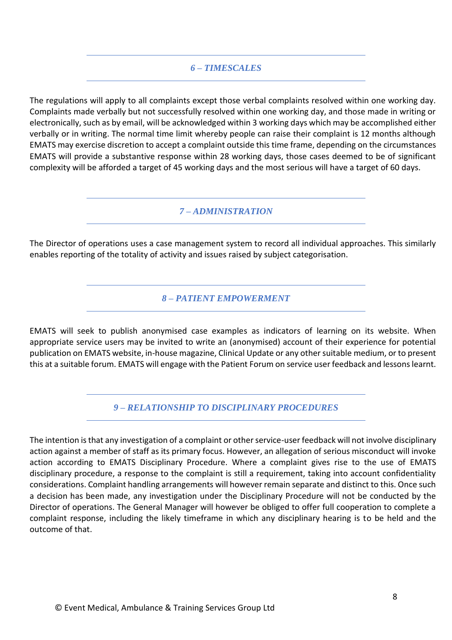# *6 – TIMESCALES*

The regulations will apply to all complaints except those verbal complaints resolved within one working day. Complaints made verbally but not successfully resolved within one working day, and those made in writing or electronically, such as by email, will be acknowledged within 3 working days which may be accomplished either verbally or in writing. The normal time limit whereby people can raise their complaint is 12 months although EMATS may exercise discretion to accept a complaint outside this time frame, depending on the circumstances EMATS will provide a substantive response within 28 working days, those cases deemed to be of significant complexity will be afforded a target of 45 working days and the most serious will have a target of 60 days.

*7 – ADMINISTRATION*

The Director of operations uses a case management system to record all individual approaches. This similarly enables reporting of the totality of activity and issues raised by subject categorisation.

*8 – PATIENT EMPOWERMENT*

EMATS will seek to publish anonymised case examples as indicators of learning on its website. When appropriate service users may be invited to write an (anonymised) account of their experience for potential publication on EMATS website, in-house magazine, Clinical Update or any other suitable medium, or to present this at a suitable forum. EMATS will engage with the Patient Forum on service user feedback and lessons learnt.

*9 – RELATIONSHIP TO DISCIPLINARY PROCEDURES*

The intention is that any investigation of a complaint or other service-user feedback will not involve disciplinary action against a member of staff as its primary focus. However, an allegation of serious misconduct will invoke action according to EMATS Disciplinary Procedure. Where a complaint gives rise to the use of EMATS disciplinary procedure, a response to the complaint is still a requirement, taking into account confidentiality considerations. Complaint handling arrangements will however remain separate and distinct to this. Once such a decision has been made, any investigation under the Disciplinary Procedure will not be conducted by the Director of operations. The General Manager will however be obliged to offer full cooperation to complete a complaint response, including the likely timeframe in which any disciplinary hearing is to be held and the outcome of that.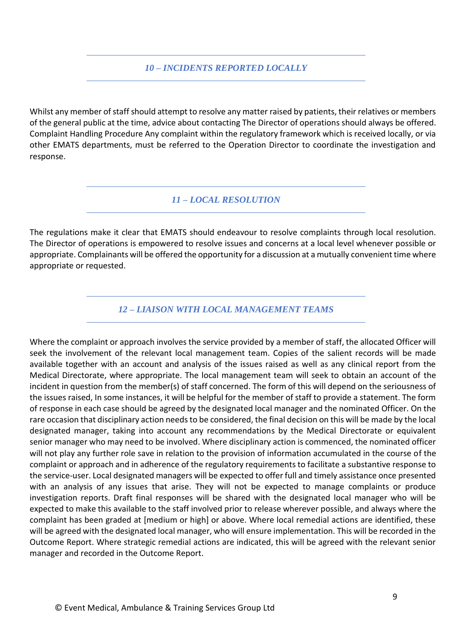# *10 – INCIDENTS REPORTED LOCALLY*

Whilst any member of staff should attempt to resolve any matter raised by patients, their relatives or members of the general public at the time, advice about contacting The Director of operations should always be offered. Complaint Handling Procedure Any complaint within the regulatory framework which is received locally, or via other EMATS departments, must be referred to the Operation Director to coordinate the investigation and response.

*11 – LOCAL RESOLUTION*

The regulations make it clear that EMATS should endeavour to resolve complaints through local resolution. The Director of operations is empowered to resolve issues and concerns at a local level whenever possible or appropriate. Complainants will be offered the opportunity for a discussion at a mutually convenient time where appropriate or requested.

*12 – LIAISON WITH LOCAL MANAGEMENT TEAMS*

Where the complaint or approach involves the service provided by a member of staff, the allocated Officer will seek the involvement of the relevant local management team. Copies of the salient records will be made available together with an account and analysis of the issues raised as well as any clinical report from the Medical Directorate, where appropriate. The local management team will seek to obtain an account of the incident in question from the member(s) of staff concerned. The form of this will depend on the seriousness of the issues raised, In some instances, it will be helpful for the member of staff to provide a statement. The form of response in each case should be agreed by the designated local manager and the nominated Officer. On the rare occasion that disciplinary action needs to be considered, the final decision on this will be made by the local designated manager, taking into account any recommendations by the Medical Directorate or equivalent senior manager who may need to be involved. Where disciplinary action is commenced, the nominated officer will not play any further role save in relation to the provision of information accumulated in the course of the complaint or approach and in adherence of the regulatory requirements to facilitate a substantive response to the service-user. Local designated managers will be expected to offer full and timely assistance once presented with an analysis of any issues that arise. They will not be expected to manage complaints or produce investigation reports. Draft final responses will be shared with the designated local manager who will be expected to make this available to the staff involved prior to release wherever possible, and always where the complaint has been graded at [medium or high] or above. Where local remedial actions are identified, these will be agreed with the designated local manager, who will ensure implementation. This will be recorded in the Outcome Report. Where strategic remedial actions are indicated, this will be agreed with the relevant senior manager and recorded in the Outcome Report.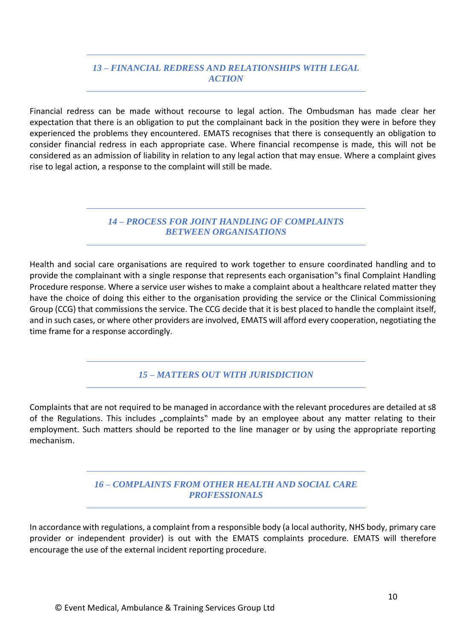# *13 – FINANCIAL REDRESS AND RELATIONSHIPS WITH LEGAL ACTION*

Financial redress can be made without recourse to legal action. The Ombudsman has made clear her expectation that there is an obligation to put the complainant back in the position they were in before they experienced the problems they encountered. EMATS recognises that there is consequently an obligation to consider financial redress in each appropriate case. Where financial recompense is made, this will not be considered as an admission of liability in relation to any legal action that may ensue. Where a complaint gives rise to legal action, a response to the complaint will still be made.

> *14 – PROCESS FOR JOINT HANDLING OF COMPLAINTS BETWEEN ORGANISATIONS*

Health and social care organisations are required to work together to ensure coordinated handling and to provide the complainant with a single response that represents each organisation"s final Complaint Handling Procedure response. Where a service user wishes to make a complaint about a healthcare related matter they have the choice of doing this either to the organisation providing the service or the Clinical Commissioning Group (CCG) that commissions the service. The CCG decide that it is best placed to handle the complaint itself, and in such cases, or where other providers are involved, EMATS will afford every cooperation, negotiating the time frame for a response accordingly.

*15 – MATTERS OUT WITH JURISDICTION*

Complaints that are not required to be managed in accordance with the relevant procedures are detailed at s8 of the Regulations. This includes "complaints" made by an employee about any matter relating to their employment. Such matters should be reported to the line manager or by using the appropriate reporting mechanism.

# *16 – COMPLAINTS FROM OTHER HEALTH AND SOCIAL CARE PROFESSIONALS*

In accordance with regulations, a complaint from a responsible body (a local authority, NHS body, primary care provider or independent provider) is out with the EMATS complaints procedure. EMATS will therefore encourage the use of the external incident reporting procedure.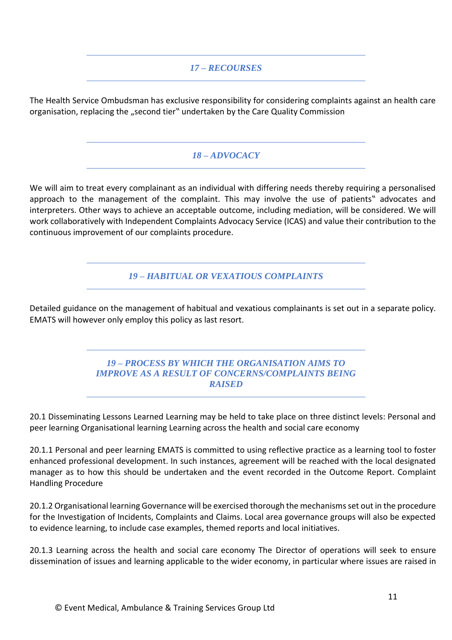# *17 – RECOURSES*

The Health Service Ombudsman has exclusive responsibility for considering complaints against an health care organisation, replacing the "second tier" undertaken by the Care Quality Commission

# *18 – ADVOCACY*

We will aim to treat every complainant as an individual with differing needs thereby requiring a personalised approach to the management of the complaint. This may involve the use of patients" advocates and interpreters. Other ways to achieve an acceptable outcome, including mediation, will be considered. We will work collaboratively with Independent Complaints Advocacy Service (ICAS) and value their contribution to the continuous improvement of our complaints procedure.

*19 – HABITUAL OR VEXATIOUS COMPLAINTS*

Detailed guidance on the management of habitual and vexatious complainants is set out in a separate policy. EMATS will however only employ this policy as last resort.

# *19 – PROCESS BY WHICH THE ORGANISATION AIMS TO IMPROVE AS A RESULT OF CONCERNS/COMPLAINTS BEING RAISED*

20.1 Disseminating Lessons Learned Learning may be held to take place on three distinct levels: Personal and peer learning Organisational learning Learning across the health and social care economy

20.1.1 Personal and peer learning EMATS is committed to using reflective practice as a learning tool to foster enhanced professional development. In such instances, agreement will be reached with the local designated manager as to how this should be undertaken and the event recorded in the Outcome Report. Complaint Handling Procedure

20.1.2 Organisational learning Governance will be exercised thorough the mechanisms set out in the procedure for the Investigation of Incidents, Complaints and Claims. Local area governance groups will also be expected to evidence learning, to include case examples, themed reports and local initiatives.

20.1.3 Learning across the health and social care economy The Director of operations will seek to ensure dissemination of issues and learning applicable to the wider economy, in particular where issues are raised in